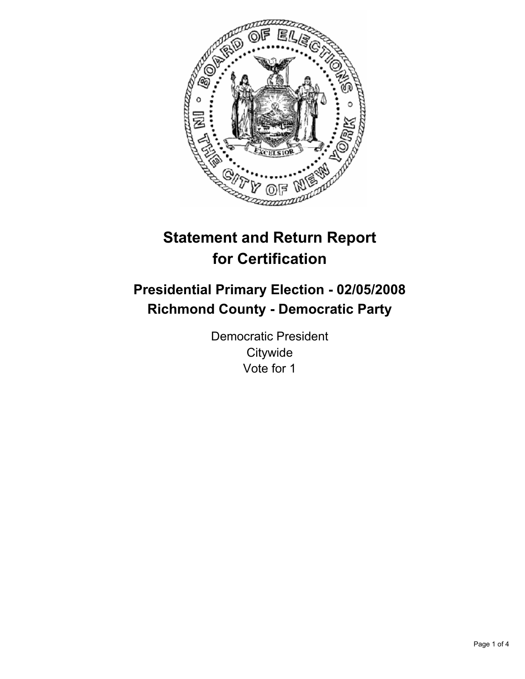

# **Statement and Return Report for Certification**

## **Presidential Primary Election - 02/05/2008 Richmond County - Democratic Party**

Democratic President **Citywide** Vote for 1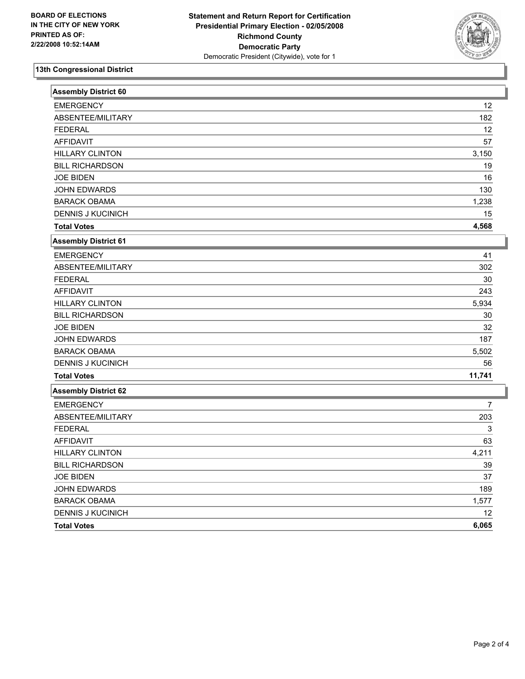

### **13th Congressional District**

| Assembly District 60        |        |
|-----------------------------|--------|
| <b>EMERGENCY</b>            | 12     |
| ABSENTEE/MILITARY           | 182    |
| <b>FEDERAL</b>              | 12     |
| <b>AFFIDAVIT</b>            | 57     |
| <b>HILLARY CLINTON</b>      | 3,150  |
| <b>BILL RICHARDSON</b>      | 19     |
| <b>JOE BIDEN</b>            | 16     |
| JOHN EDWARDS                | 130    |
| <b>BARACK OBAMA</b>         | 1,238  |
| <b>DENNIS J KUCINICH</b>    | 15     |
| <b>Total Votes</b>          | 4,568  |
| <b>Assembly District 61</b> |        |
| <b>EMERGENCY</b>            | 41     |
| ABSENTEE/MILITARY           | 302    |
| <b>FEDERAL</b>              | 30     |
| <b>AFFIDAVIT</b>            | 243    |
| <b>HILLARY CLINTON</b>      | 5,934  |
| <b>BILL RICHARDSON</b>      | $30\,$ |
| <b>JOE BIDEN</b>            | 32     |
| <b>JOHN EDWARDS</b>         | 187    |
| <b>BARACK OBAMA</b>         | 5,502  |
| <b>DENNIS J KUCINICH</b>    | 56     |
| <b>Total Votes</b>          | 11,741 |
| <b>Assembly District 62</b> |        |
| <b>EMERGENCY</b>            | 7      |
| ABSENTEE/MILITARY           | 203    |
| <b>FEDERAL</b>              | 3      |
| <b>AFFIDAVIT</b>            | 63     |
| <b>HILLARY CLINTON</b>      | 4,211  |
| <b>BILL RICHARDSON</b>      | 39     |
| <b>JOE BIDEN</b>            | 37     |
| JOHN EDWARDS                | 189    |
| <b>BARACK OBAMA</b>         | 1,577  |
| DENNIS J KUCINICH           | 12     |
| <b>Total Votes</b>          | 6,065  |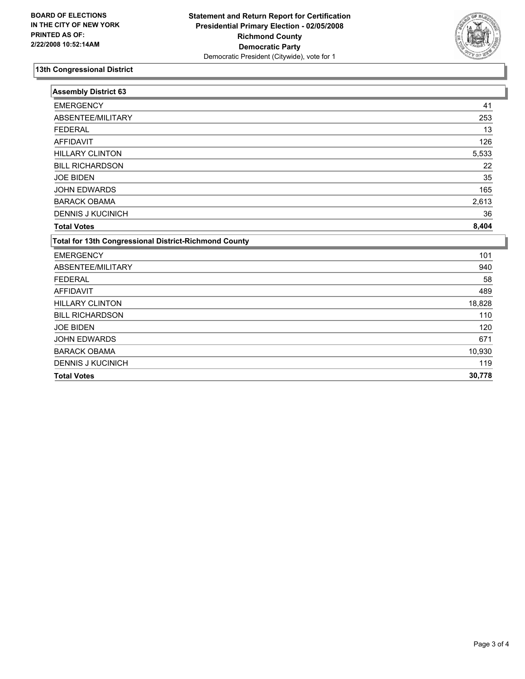

### **13th Congressional District**

| <b>EMERGENCY</b> | <b>Assembly District 63</b>                                  |        |
|------------------|--------------------------------------------------------------|--------|
|                  | <b>EMERGENCY</b>                                             | 41     |
|                  | ABSENTEE/MILITARY                                            | 253    |
|                  | <b>FEDERAL</b>                                               | 13     |
|                  | <b>AFFIDAVIT</b>                                             | 126    |
|                  | <b>HILLARY CLINTON</b>                                       | 5,533  |
|                  | <b>BILL RICHARDSON</b>                                       | 22     |
|                  | <b>JOE BIDEN</b>                                             | 35     |
|                  | <b>JOHN EDWARDS</b>                                          | 165    |
|                  | <b>BARACK OBAMA</b>                                          | 2,613  |
|                  | <b>DENNIS J KUCINICH</b>                                     | 36     |
|                  | <b>Total Votes</b>                                           | 8,404  |
|                  | <b>Total for 13th Congressional District-Richmond County</b> |        |
|                  |                                                              | 101    |
|                  | ABSENTEE/MILITARY                                            | 940    |
|                  | <b>FEDERAL</b>                                               | 58     |
|                  | <b>AFFIDAVIT</b>                                             | 489    |
|                  | <b>HILLARY CLINTON</b>                                       | 18,828 |
|                  | <b>BILL RICHARDSON</b>                                       | 110    |
|                  | <b>JOE BIDEN</b>                                             | 120    |
|                  | <b>JOHN EDWARDS</b>                                          | 671    |
|                  | <b>BARACK OBAMA</b>                                          | 10,930 |
|                  | <b>DENNIS J KUCINICH</b>                                     | 119    |
|                  | <b>Total Votes</b>                                           | 30,778 |